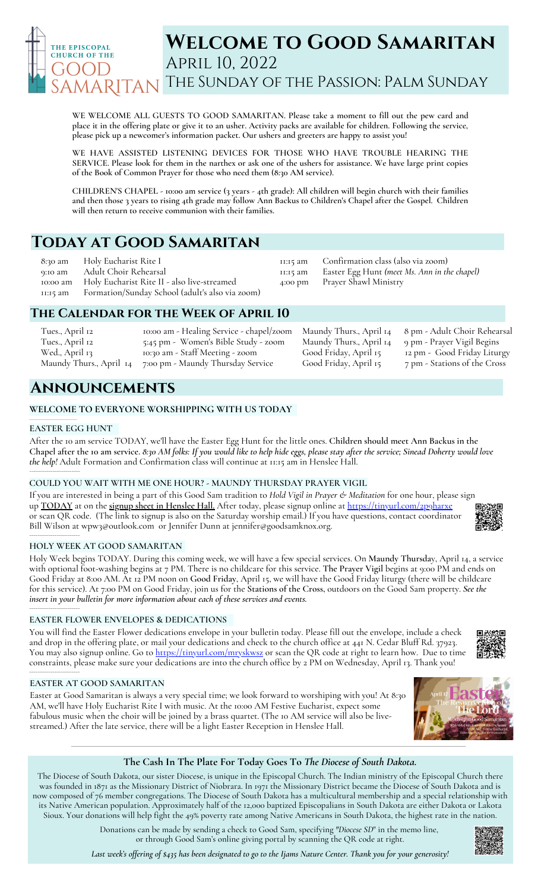

# **Welcome to Good Samaritan** April 10, 2022 The Sunday of the Passion: Palm Sunday

**WE WELCOME ALL GUESTS TO GOOD SAMARITAN. Please take a moment to fill out the pew card and** place it in the offering plate or give it to an usher. Activity packs are available for children. Following the service, **please pick up a newcomer's information packet. Our ushers and greeters are happy to assist you!**

**WE HAVE ASSISTED LISTENING DEVICES FOR THOSE WHO HAVE TROUBLE HEARING THE** SERVICE. Please look for them in the narthex or ask one of the ushers for assistance. We have large print copies **of the Book of Common Prayer for those who need them (8:30 AM service).**

CHILDREN'S CHAPEL - 10:00 am service (3 years - 4th grade): All children will begin church with their families and then those 3 years to rising 4th grade may follow Ann Backus to Children's Chapel after the Gospel. Children **will then return to receive communion with their families.**

> 11:15 am 11:15 am 4:00 pm

# **Today at Good Samaritan**

8:30 am 9:10 am 10:00 am 11:15 am Holy Eucharist Rite I Adult Choir Rehearsal Holy Eucharist Rite II - also live-streamed Formation/Sunday School (adult's also via zoom)

## **The Calendar for the Week of April 10**

| Tues., April 12         | 10:00 am - Healing Service - chapel/zoom Maundy Thurs., April 14 |                         |
|-------------------------|------------------------------------------------------------------|-------------------------|
| Tues., April 12         | 5:45 pm - Women's Bible Study - zoom                             | Maundy Thurs., April 14 |
| Wed., April 13          | 10:30 am - Staff Meeting - zoom                                  | Good Friday, April 15   |
| Maundy Thurs., April 14 | 7:00 pm - Maundy Thursday Service                                | Good Friday, April 15   |

# **Announcements**

### **WELCOME TO EVERYONE WORSHIPPING WITH US TODAY**

#### **EASTER EGG HUNT**

**\_\_\_\_\_\_\_\_\_\_\_\_\_\_\_\_\_\_\_\_\_\_\_\_\_\_\_\_\_\_\_\_\_\_**

After the 10 am service TODAY, we'll have the Easter Egg Hunt for the little ones. **Children should meet Ann Backus in the** Chapel after the 10 am service. 8:30 AM folks: If you would like to help hide eggs, please stay after the service; Sinead Doherty would love *the help!* Adult Formation and Confirmation class will continue at 11:15 am in Henslee Hall. \_\_\_\_\_\_\_\_\_\_\_\_\_\_\_\_\_\_\_\_\_\_\_\_

### **COULD YOU WAIT WITH ME ONE HOUR? - MAUNDY THURSDAY PRAYER VIGIL**

If you are interested in being a part of this Good Sam tradition to *Hold Vigil in Prayer & Meditation* for one hour, please sign up **TODAY** at on the **signup sheet in Henslee Hall.** After today, please signup online at <https://tinyurl.com/2p9harxe> or scan QR code. (The link to signup is also on the Saturday worship email.) If you have questions, contact coordinator Bill Wilson at [wpw3@outlook.com](mailto:wpw3@outlook.com) or Jennifer Dunn at [jennifer@goodsamknox.org](mailto:jennifer@goodsamknox.org). \_\_\_\_\_\_\_\_\_\_\_\_\_\_\_\_\_\_\_\_\_\_\_\_

#### **HOLY WEEK AT GOOD SAMARITAN**

Holy Week begins TODAY. During this coming week, we will have a few special services. On **Maundy Thursda**y, April 14, a service with optional foot-washing begins at 7 PM. There is no childcare for this service. **The Prayer Vigil** begins at 9:00 PM and ends on Good Friday at 8:00 AM. At 12 PM noon on **Good Friday**, April 15, we will have the Good Friday liturgy (there will be childcare for this service). At 7:00 PM on Good Friday, join us for the **Stations of the Cross,** outdoors on the Good Sam property. *See the insert in your bulletin for more information about each of these services and events.*

### **EASTER FLOWER ENVELOPES & DEDICATIONS**

You will find the Easter Flower dedications envelope in your bulletin today. Please fill out the envelope, include a check and drop in the offering plate, or mail your dedications and check to the church office at 441 N. Cedar Bluff Rd. 37923. You may also signup online. Go to <https://tinyurl.com/mryskwsz> or scan the QR code at right to learn how. Due to time constraints, please make sure your dedications are into the church office by 2 PM on Wednesday, April 13. Thank you!

### **EASTER AT GOOD SAMARITAN**

\_\_\_\_\_\_\_\_\_\_\_\_\_\_\_\_\_\_\_\_\_\_\_\_

\_\_\_\_\_\_\_\_\_\_\_\_\_\_\_\_\_\_\_\_\_\_\_\_

Easter at Good Samaritan is always a very special time; we look forward to worshiping with you! At 8:30 AM, we'll have Holy Eucharist Rite I with music. At the 10:00 AM Festive Eucharist, expect some fabulous music when the choir will be joined by a brass quartet. (The 10 AM service will also be livestreamed.) After the late service, there will be a light Easter Reception in Henslee Hall.

## **The Cash In The Plate For Today Goes To** *The Diocese of South Dakota.*

The Diocese of South Dakota, our sister Diocese, is unique in the Episcopal Church. The Indian ministry of the Episcopal Church there was founded in 1871 as the Missionary District of Niobrara. In 1971 the Missionary District became the Diocese of South Dakota and is now composed of 76 member congregations. The Diocese of South Dakota has a multicultural membership and a special relationship with its Native American population. Approximately half of the 12,000 baptized Episcopalians in South Dakota are either Dakota or Lakota Sioux. Your donations will help fight the 49% poverty rate among Native Americans in South Dakota, the highest rate in the nation.

> Donations can be made by sending a check to Good Sam, specifying *"Diocese SD*" in the memo line, or through Good Sam's online giving portal by scanning the QR code at right.

Last week's offering of \$435 has been designated to go to the Ijams Nature Center. Thank you for your generosity!









Confirmation class (also via zoom)

Prayer Shawl Ministry

Easter Egg Hunt *(meet Ms. Ann in the chapel)*

8 pm - Adult Choir Rehearsal 9 pm - Prayer Vigil Begins. 12 pm - Good Friday Liturgy 7 pm - Stations of the Cross